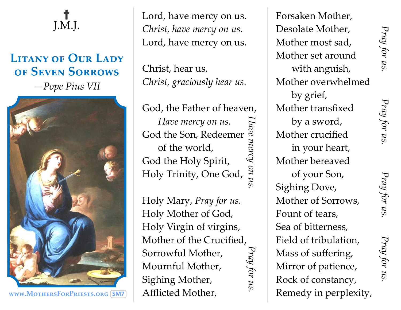## **†**  J.M.J.

## **LITANY OF OUR LADY of Seven Sorrows**  *—Pope Pius VII*



**www.MothersForPriests.org SM7**

Lord, have mercy on us. *Christ, have mercy on us.* Lord, have mercy on us.

Christ, hear us. *Christ, graciously hear us.* 

God, the Father of heaven, *Have mercy on us. Have mercy on us.*<br>
God the Son, Redeemer<br>
of the world,<br>
God the Holy Spirit,<br>
Holy Trinity, One God,  $\frac{a}{5}$ of the world, God the Holy Spirit, Holy Trinity, One God, *Have mercy on us. Pray for us.*

Holy Mary, *Pray for us.* Holy Mother of God, Holy Virgin of virgins, Mother of the Crucified, Pray for us Sorrowful Mother, Mournful Mother, Sighing Mother, Afflicted Mother,

Forsaken Mother, Desolate Mother, Mother most sad, Mother set around with anguish, Mother overwhelmed by grief, Mother transfixed by a sword, Mother crucified in your heart, Mother bereaved of your Son, Sighing Dove, Mother of Sorrows, Fount of tears, Sea of bitterness, Field of tribulation, Mass of suffering, Mirror of patience, Rock of constancy, Remedy in perplexity,